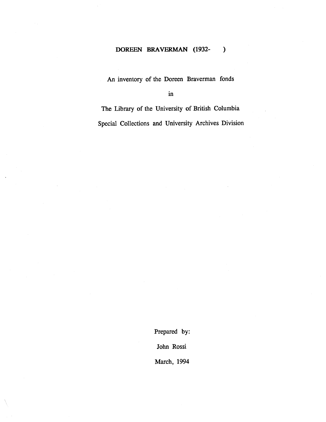# **DOREEN BRAVERMAN (1932- )**

An inventory of the Doreen Braverman fonds

in

The Library of the University of British Columbia Special Collections and University Archives Division

Prepared by:

John Rossi

March, 1994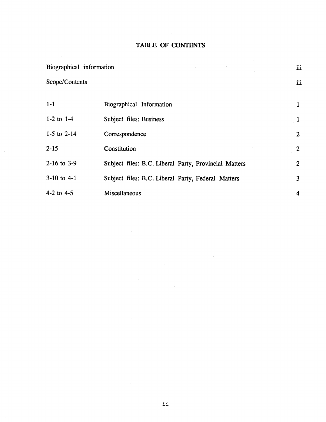# **TABLE OF CONTENTS**

| Biographical information<br>Scope/Contents |                                                       | iii            |
|--------------------------------------------|-------------------------------------------------------|----------------|
|                                            |                                                       | iii            |
| $1-1$                                      | Biographical Information                              | $\mathbf{1}$   |
| $1-2$ to $1-4$                             | Subject files: Business                               | $\mathbf{1}$   |
| 1-5 to $2-14$                              | Correspondence                                        | $\overline{2}$ |
| $2 - 15$                                   | Constitution                                          | $\overline{2}$ |
| 2-16 to 3-9                                | Subject files: B.C. Liberal Party, Provincial Matters | $\overline{2}$ |
| $3-10$ to $4-1$                            | Subject files: B.C. Liberal Party, Federal Matters    | 3              |
| 4-2 to $4-5$                               | Miscellaneous                                         | 4              |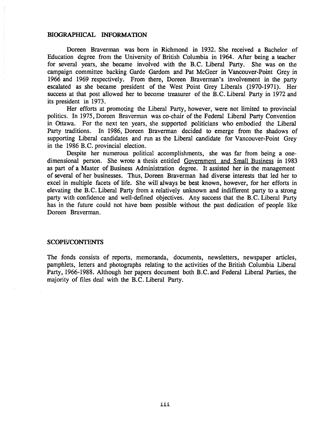#### **BIOGRAPHICAL INFORMATION**

Doreen Braverman was born in Richmond in 1932. She received a Bachelor of Education degree from the University of British Columbia in 1964 . After being a teacher for several years, she became involved with the B.C . Liberal Party. She was on the campaign committee backing Garde Gardom and Pat McGeer in Vancouver-Point Grey in 1966 and 1969 respectively. From there, Doreen Braverman's involvement in the party escalated as she became president of the West Point Grey Liberals (1970-1971). Her success at that post allowed her to become treasurer of the B.C. Liberal Party in 1972 and its president in 1973.

Her efforts at promoting the Liberal Party, however, were not limited to provincial politics. In 1975, Doreen Braverman was co-chair of the Federal Liberal Party Convention in Ottawa. For the next ten years, she supported politicians who embodied the Liberal Party traditions. In 1986, Doreen Braverman decided to emerge from the shadows of supporting Liberal candidates and run as the Liberal candidate for Vancouver-Point Grey in the 1986 B.C. provincial election.

Despite her numerous political accomplishments, she was far from being a onedimensional person. She wrote a thesis entitled Government and Small Business in 1983 as part of a Master of Business Administration degree. It assisted her in the management of several of her businesses. Thus, Doreen Braverman had diverse interests that led her to excel in multiple facets of life. She will always be best known, however, for her efforts in elevating the B.C. Liberal Party from a relatively unknown and indifferent party to a strong party with confidence and well-defined objectives. Any success that the B.C. Liberal Party has in the future could not have been possible without the past dedication of people like Doreen Braverman.

#### **SCOPE/CONTENTS**

The fonds consists of reports, memoranda, documents, newsletters, newspaper articles, pamphlets, letters and photographs relating to the activities of the British Columbia Liberal Party, 1966-1988. Although her papers document both B.C. and Federal Liberal Parties, the majority of files deal with the B.C. Liberal Party.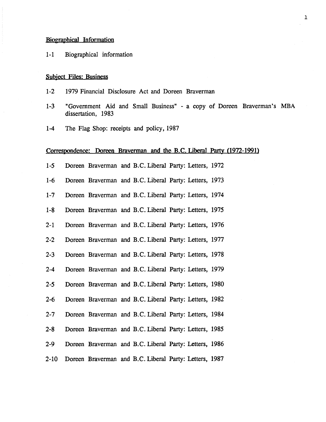#### **Biographical Information**

1-1 Biographical information

### **Subject Files: Business**

- 1-2 1979 Financial Disclosure Act and Doreen Braverman
- 1-3 "Government Aid and Small Business" a copy of Doreen Braverman's MBA dissertation, 1983 Biographical Information<br>
1-1 Biographical information<br>
Subject Files: Business<br>
1-2 1979 Financial Disclosure Act and Doreen Braverman<br>
1-3 "Government Aid and Small Business" - a copy of De<br>
dissertation, 1983<br>
1-4 The F
	- 1-4 The Flag Shop: receipts and policy, 1987

#### Correspondence: Doreen Braverman and the B.C. Liberal Party (1972-1991)

- 
- 1-6 Doreen Braverman and B.C. Liberal Party: Letters, 1973
- 1-7 Doreen Braverman and B.C. Liberal Party: Letters, 1974
- 1-8 Doreen Braverman and B.C. Liberal Party: Letters, 1975
- 2-1 Doreen Braverman and B.C. Liberal Party: Letters, 1976
- 2-2 Doreen Braverman and B.C. Liberal Party: Letters, 1977
- 2-3 Doreen Braverman and B.C. Liberal Party: Letters, 1978
- 2-4 Doreen Braverman and B.C. Liberal Party: Letters, 1979
- 2-5 Doreen Braverman and B.C. Liberal Party: Letters, 1980
- 2-6 Doreen Braverman and B.C. Liberal Party: Letters, 1982
- 2-7 Doreen Braverman and B.C. Liberal Party: Letters, 1984
- 2-8 Doreen Braverman and B.C. Liberal Party: Letters, 1985
- 2-9 Doreen Braverman and B.C. Liberal Party: Letters, 1986
- 2-10 Doreen Braverman and B.C. Liberal Party: Letters, 1987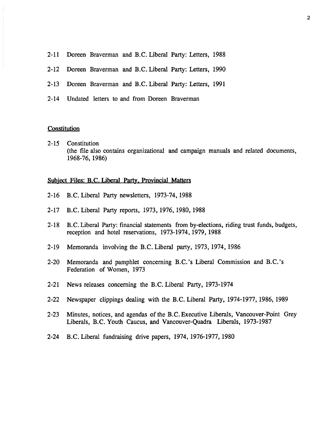- 2-11 Doreen Braverman and B.C. Liberal Party: Letters, 1988
- 2-12 Doreen Braverman and B.C. Liberal Party: Letters, 1990
- 2-13 Doreen Braverman and B.C. Liberal Party: Letters, 1991
- 2-14 Undated letters to and from Doreen Braverman

## **Constitution**

2-15 Constitution (the file also contains organizational and campaign manuals and related documents , 1968-76, 1986)

# Subject Files: B.C. Liberal Party, Provincial Matters

- 2-16 B.C . Liberal Party newsletters, 1973-74, 1988
- 2-17 B.C. Liberal Party reports, 1973, 1976, 1980, 1988
- 2-18 B.C. Liberal Party: financial statements from by-elections, riding trust funds, budgets, reception and hotel reservations, 1973-1974, 1979, 1988
- 2-19 Memoranda involving the B.C. Liberal party, 1973, 1974, 1986
- 2-20 Memoranda and pamphlet concerning B.C.'s Liberal Commission and B.C.'s Federation of Women, 1973
- 2-21 News releases concerning the B.C . Liberal Party, 1973-1974
- 2-22 Newspaper clippings dealing with the B.C. Liberal Party, 1974-1977, 1986, 1989
- 2-23 Minutes, notices, and agendas of the B.C. Executive Liberals, Vancouver-Point Grey Liberals, B.C . Youth Caucus, and Vancouver-Quadra Liberals, 1973-1987
- 2-24 B.C . Liberal fundraising drive papers, 1974, 1976-1977, 1980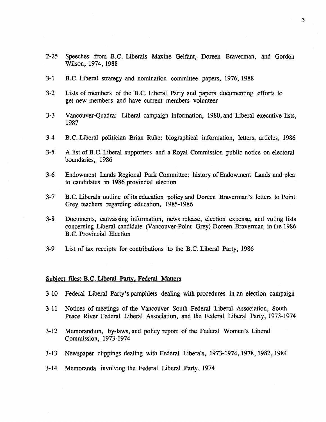- 2-25 Speeches from B.C. Liberals Maxine Gelfant, Doreen Braverman, and Gordon Wilson, 1974, 1988
- 3-1 B.C. Liberal strategy and nomination committee papers, 1976, 1988
- 3-2 Lists of members of the B.C. Liberal Party and papers documenting efforts to get new members and have current members volunteer
- 3-3 Vancouver-Quadra: Liberal campaign information, 1980, and Liberal executive lists, 1987
- 3-4 B.C. Liberal politician Brian Ruhe: biographical information, letters, articles, 1986
- 3-5 A list of B.C. Liberal supporters and a Royal Commission public notice on electoral boundaries, 1986
- 3-6 Endowment Lands Regional Park Committee: history of Endowment Lands and plea to candidates in 1986 provincial election
- 3-7 B.C. Liberals outline of its education policy and Doreen Braverman's letters to Point Grey teachers regarding education, 1985-1986
- 3-8 Documents, canvassing information, news release, election expense, and voting lists concerning Liberal candidate (Vancouver-Point Grey) Doreen Braverman in the 1986 B.C. Provincial Election
- 3-9 List of tax receipts for contributions to the B.C. Liberal Party, 1986

#### **Subject files: B.C. Liberal Party, Federal Matters**

- 3-10 Federal Liberal Party's pamphlets dealing with procedures in an election campaign
- 3-11 Notices of meetings of the Vancouver South Federal Liberal Association, South Peace River Federal Liberal Association, and the Federal Liberal Party, 1973-1974
- 3-12 Memorandum, by-laws, and policy report of the Federal Women's Liberal Commission, 1973-1974
- 3-13 Newspaper clippings dealing with Federal Liberals, 1973-1974, 1978, 1982, 1984
- 3-14 Memoranda involving the Federal Liberal Party, 1974